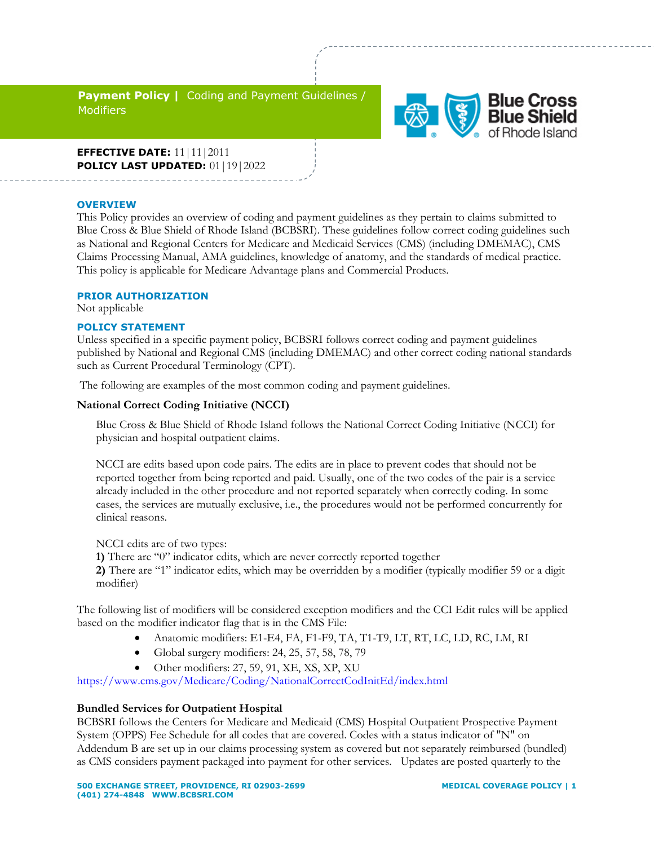**Payment Policy |** Coding and Payment Guidelines / **Modifiers** 



**EFFECTIVE DATE:** 11|11|2011 **POLICY LAST UPDATED:** 01 | 19 | 2022

#### **OVERVIEW**

This Policy provides an overview of coding and payment guidelines as they pertain to claims submitted to Blue Cross & Blue Shield of Rhode Island (BCBSRI). These guidelines follow correct coding guidelines such as National and Regional Centers for Medicare and Medicaid Services (CMS) (including DMEMAC), CMS Claims Processing Manual, AMA guidelines, knowledge of anatomy, and the standards of medical practice. This policy is applicable for Medicare Advantage plans and Commercial Products.

#### **PRIOR AUTHORIZATION**

Not applicable

#### **POLICY STATEMENT**

Unless specified in a specific payment policy, BCBSRI follows correct coding and payment guidelines published by National and Regional CMS (including DMEMAC) and other correct coding national standards such as Current Procedural Terminology (CPT).

The following are examples of the most common coding and payment guidelines.

#### **National Correct Coding Initiative (NCCI)**

Blue Cross & Blue Shield of Rhode Island follows the National Correct Coding Initiative (NCCI) for physician and hospital outpatient claims.

NCCI are edits based upon code pairs. The edits are in place to prevent codes that should not be reported together from being reported and paid. Usually, one of the two codes of the pair is a service already included in the other procedure and not reported separately when correctly coding. In some cases, the services are mutually exclusive, i.e., the procedures would not be performed concurrently for clinical reasons.

NCCI edits are of two types:

**1)** There are "0" indicator edits, which are never correctly reported together

**2)** There are "1" indicator edits, which may be overridden by a modifier (typically modifier 59 or a digit modifier)

The following list of modifiers will be considered exception modifiers and the CCI Edit rules will be applied based on the modifier indicator flag that is in the CMS File:

- Anatomic modifiers: E1-E4, FA, F1-F9, TA, T1-T9, LT, RT, LC, LD, RC, LM, RI
- Global surgery modifiers: 24, 25, 57, 58, 78, 79
- Other modifiers: 27, 59, 91, XE, XS, XP, XU

<https://www.cms.gov/Medicare/Coding/NationalCorrectCodInitEd/index.html>

#### **Bundled Services for Outpatient Hospital**

BCBSRI follows the Centers for Medicare and Medicaid (CMS) Hospital Outpatient Prospective Payment System (OPPS) Fee Schedule for all codes that are covered. Codes with a status indicator of "N" on Addendum B are set up in our claims processing system as covered but not separately reimbursed (bundled) as CMS considers payment packaged into payment for other services. Updates are posted quarterly to the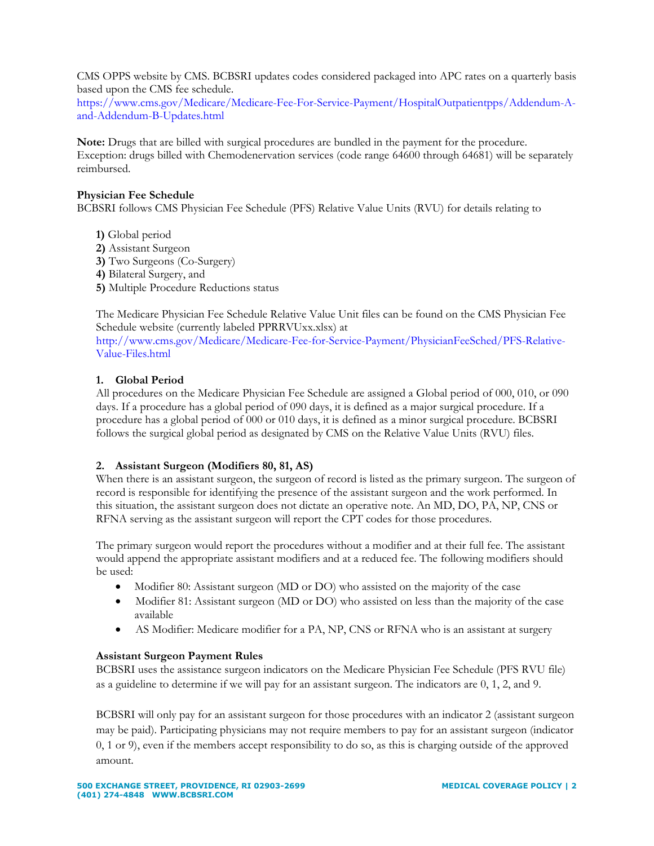CMS OPPS website by CMS. BCBSRI updates codes considered packaged into APC rates on a quarterly basis based upon the CMS fee schedule.

[https://www.cms.gov/Medicare/Medicare-Fee-For-Service-Payment/HospitalOutpatientpps/Addendum-A](https://www.cms.gov/Medicare/Medicare-Fee-For-Service-Payment/HospitalOutpatientpps/Addendum-A-and-Addendum-B-Updates.html)[and-Addendum-B-Updates.html](https://www.cms.gov/Medicare/Medicare-Fee-For-Service-Payment/HospitalOutpatientpps/Addendum-A-and-Addendum-B-Updates.html)

**Note:** Drugs that are billed with surgical procedures are bundled in the payment for the procedure. Exception: drugs billed with Chemodenervation services (code range 64600 through 64681) will be separately reimbursed.

## **Physician Fee Schedule**

BCBSRI follows CMS Physician Fee Schedule (PFS) Relative Value Units (RVU) for details relating to

- **1)** Global period
- **2)** Assistant Surgeon
- **3)** Two Surgeons (Co-Surgery)
- **4)** Bilateral Surgery, and
- **5)** Multiple Procedure Reductions status

The Medicare Physician Fee Schedule Relative Value Unit files can be found on the CMS Physician Fee Schedule website (currently labeled PPRRVUxx.xlsx) at

[http://www.cms.gov/Medicare/Medicare-Fee-for-Service-Payment/PhysicianFeeSched/PFS-Relative-](http://www.cms.gov/Medicare/Medicare-Fee-for-Service-Payment/PhysicianFeeSched/PFS-Relative-Value-Files.html)[Value-Files.html](http://www.cms.gov/Medicare/Medicare-Fee-for-Service-Payment/PhysicianFeeSched/PFS-Relative-Value-Files.html)

## **1. Global Period**

All procedures on the Medicare Physician Fee Schedule are assigned a Global period of 000, 010, or 090 days. If a procedure has a global period of 090 days, it is defined as a major surgical procedure. If a procedure has a global period of 000 or 010 days, it is defined as a minor surgical procedure. BCBSRI follows the surgical global period as designated by CMS on the Relative Value Units (RVU) files.

# **2. Assistant Surgeon (Modifiers 80, 81, AS)**

When there is an assistant surgeon, the surgeon of record is listed as the primary surgeon. The surgeon of record is responsible for identifying the presence of the assistant surgeon and the work performed. In this situation, the assistant surgeon does not dictate an operative note. An MD, DO, PA, NP, CNS or RFNA serving as the assistant surgeon will report the CPT codes for those procedures.

The primary surgeon would report the procedures without a modifier and at their full fee. The assistant would append the appropriate assistant modifiers and at a reduced fee. The following modifiers should be used:

- Modifier 80: Assistant surgeon (MD or DO) who assisted on the majority of the case
- Modifier 81: Assistant surgeon (MD or DO) who assisted on less than the majority of the case available
- AS Modifier: Medicare modifier for a PA, NP, CNS or RFNA who is an assistant at surgery

# **Assistant Surgeon Payment Rules**

BCBSRI uses the assistance surgeon indicators on the Medicare Physician Fee Schedule (PFS RVU file) as a guideline to determine if we will pay for an assistant surgeon. The indicators are 0, 1, 2, and 9.

BCBSRI will only pay for an assistant surgeon for those procedures with an indicator 2 (assistant surgeon may be paid). Participating physicians may not require members to pay for an assistant surgeon (indicator 0, 1 or 9), even if the members accept responsibility to do so, as this is charging outside of the approved amount.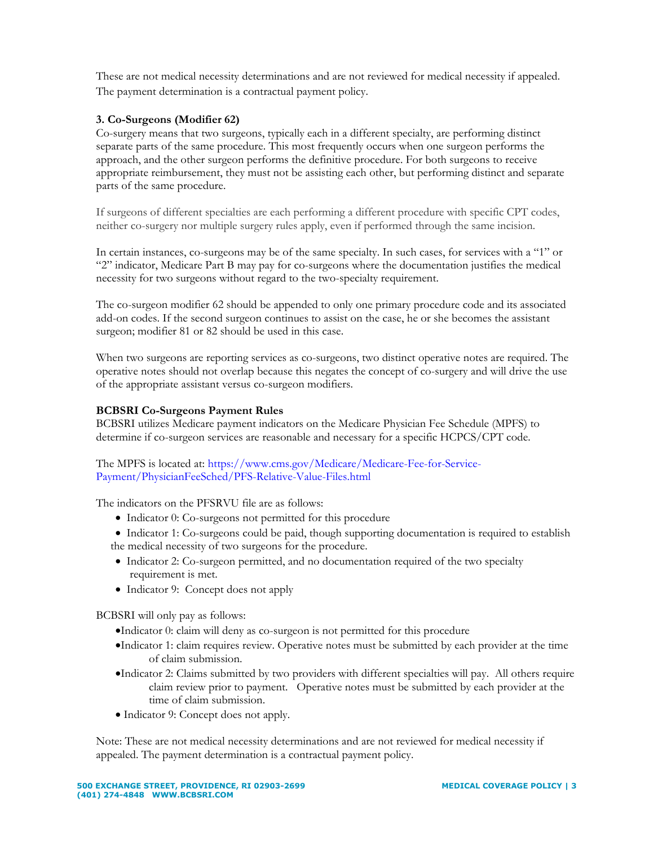These are not medical necessity determinations and are not reviewed for medical necessity if appealed. The payment determination is a contractual payment policy.

# **3. Co-Surgeons (Modifier 62)**

Co-surgery means that two surgeons, typically each in a different specialty, are performing distinct separate parts of the same procedure. This most frequently occurs when one surgeon performs the approach, and the other surgeon performs the definitive procedure. For both surgeons to receive appropriate reimbursement, they must not be assisting each other, but performing distinct and separate parts of the same procedure.

If surgeons of different specialties are each performing a different procedure with specific CPT codes, neither co-surgery nor multiple surgery rules apply, even if performed through the same incision.

In certain instances, co-surgeons may be of the same specialty. In such cases, for services with a "1" or "2" indicator, Medicare Part B may pay for co-surgeons where the documentation justifies the medical necessity for two surgeons without regard to the two-specialty requirement.

The co-surgeon modifier 62 should be appended to only one primary procedure code and its associated add-on codes. If the second surgeon continues to assist on the case, he or she becomes the assistant surgeon; modifier 81 or 82 should be used in this case.

When two surgeons are reporting services as co-surgeons, two distinct operative notes are required. The operative notes should not overlap because this negates the concept of co-surgery and will drive the use of the appropriate assistant versus co-surgeon modifiers.

# **BCBSRI Co-Surgeons Payment Rules**

BCBSRI utilizes Medicare payment indicators on the Medicare Physician Fee Schedule (MPFS) to determine if co-surgeon services are reasonable and necessary for a specific HCPCS/CPT code.

## The MPFS is located at: [https://www.cms.gov/Medicare/Medicare-Fee-for-Service-](https://www.cms.gov/Medicare/Medicare-Fee-for-Service-Payment/PhysicianFeeSched/PFS-Relative-Value-Files.html)[Payment/PhysicianFeeSched/PFS-Relative-Value-Files.html](https://www.cms.gov/Medicare/Medicare-Fee-for-Service-Payment/PhysicianFeeSched/PFS-Relative-Value-Files.html)

The indicators on the PFSRVU file are as follows:

- Indicator 0: Co-surgeons not permitted for this procedure
- Indicator 1: Co-surgeons could be paid, though supporting documentation is required to establish the medical necessity of two surgeons for the procedure.
- Indicator 2: Co-surgeon permitted, and no documentation required of the two specialty requirement is met.
- Indicator 9: Concept does not apply

BCBSRI will only pay as follows:

- •Indicator 0: claim will deny as co-surgeon is not permitted for this procedure
- •Indicator 1: claim requires review. Operative notes must be submitted by each provider at the time of claim submission.
- •Indicator 2: Claims submitted by two providers with different specialties will pay. All others require claim review prior to payment. Operative notes must be submitted by each provider at the time of claim submission.
- Indicator 9: Concept does not apply.

Note: These are not medical necessity determinations and are not reviewed for medical necessity if appealed. The payment determination is a contractual payment policy.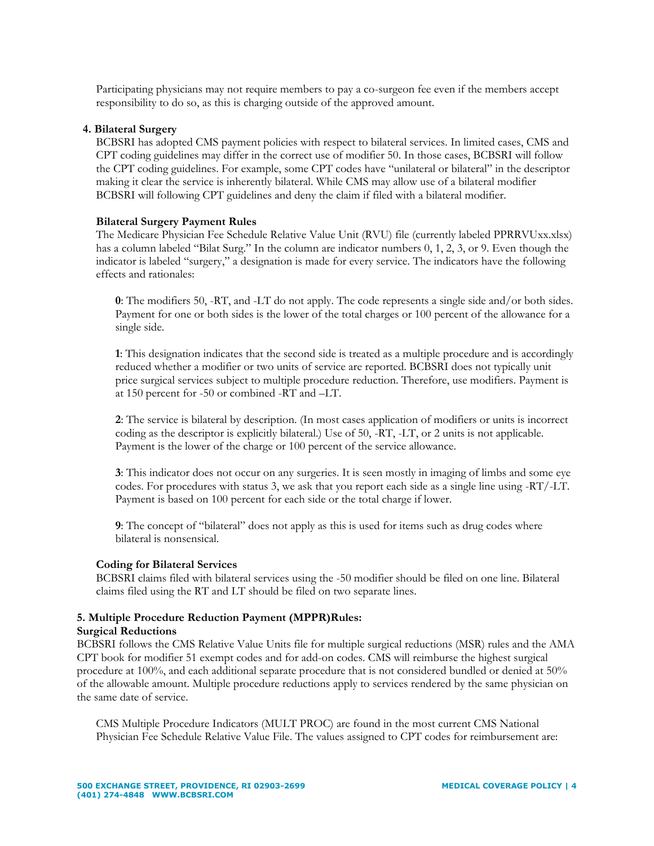Participating physicians may not require members to pay a co-surgeon fee even if the members accept responsibility to do so, as this is charging outside of the approved amount.

### **4. Bilateral Surgery**

BCBSRI has adopted CMS payment policies with respect to bilateral services. In limited cases, CMS and CPT coding guidelines may differ in the correct use of modifier 50. In those cases, BCBSRI will follow the CPT coding guidelines. For example, some CPT codes have "unilateral or bilateral" in the descriptor making it clear the service is inherently bilateral. While CMS may allow use of a bilateral modifier BCBSRI will following CPT guidelines and deny the claim if filed with a bilateral modifier.

#### **Bilateral Surgery Payment Rules**

The Medicare Physician Fee Schedule Relative Value Unit (RVU) file (currently labeled PPRRVUxx.xlsx) has a column labeled "Bilat Surg." In the column are indicator numbers 0, 1, 2, 3, or 9. Even though the indicator is labeled "surgery," a designation is made for every service. The indicators have the following effects and rationales:

**0**: The modifiers 50, -RT, and -LT do not apply. The code represents a single side and/or both sides. Payment for one or both sides is the lower of the total charges or 100 percent of the allowance for a single side.

**1**: This designation indicates that the second side is treated as a multiple procedure and is accordingly reduced whether a modifier or two units of service are reported. BCBSRI does not typically unit price surgical services subject to multiple procedure reduction. Therefore, use modifiers. Payment is at 150 percent for -50 or combined -RT and –LT.

**2**: The service is bilateral by description. (In most cases application of modifiers or units is incorrect coding as the descriptor is explicitly bilateral.) Use of 50, -RT, -LT, or 2 units is not applicable. Payment is the lower of the charge or 100 percent of the service allowance.

**3**: This indicator does not occur on any surgeries. It is seen mostly in imaging of limbs and some eye codes. For procedures with status 3, we ask that you report each side as a single line using -RT/-LT. Payment is based on 100 percent for each side or the total charge if lower.

**9**: The concept of "bilateral" does not apply as this is used for items such as drug codes where bilateral is nonsensical.

#### **Coding for Bilateral Services**

BCBSRI claims filed with bilateral services using the -50 modifier should be filed on one line. Bilateral claims filed using the RT and LT should be filed on two separate lines.

# **5. Multiple Procedure Reduction Payment (MPPR)Rules:**

#### **Surgical Reductions**

BCBSRI follows the CMS Relative Value Units file for multiple surgical reductions (MSR) rules and the AMA CPT book for modifier 51 exempt codes and for add-on codes. CMS will reimburse the highest surgical procedure at 100%, and each additional separate procedure that is not considered bundled or denied at 50% of the allowable amount. Multiple procedure reductions apply to services rendered by the same physician on the same date of service.

CMS Multiple Procedure Indicators (MULT PROC) are found in the most current CMS National Physician Fee Schedule Relative Value File. The values assigned to CPT codes for reimbursement are: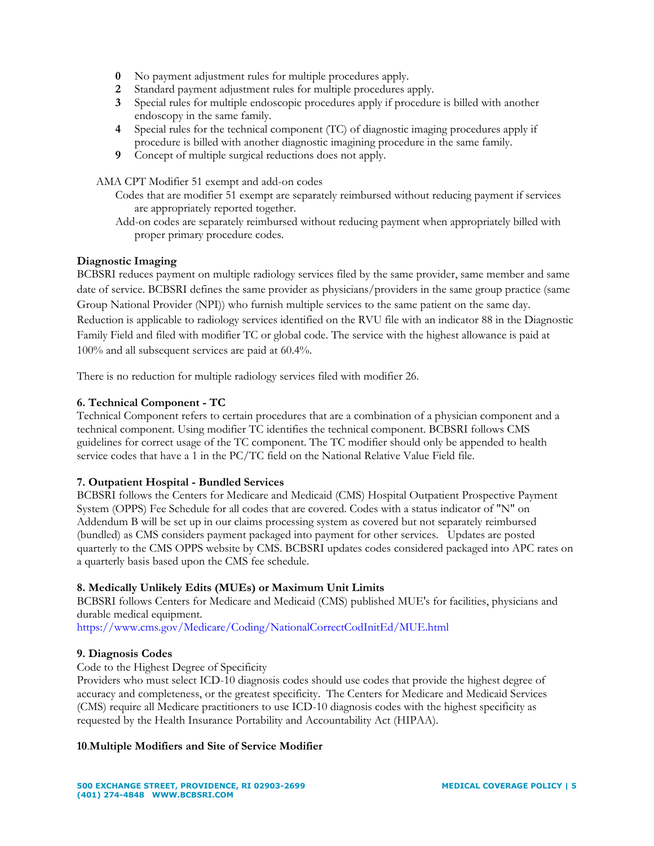- **0** No payment adjustment rules for multiple procedures apply.
- **2** Standard payment adjustment rules for multiple procedures apply.
- **3** Special rules for multiple endoscopic procedures apply if procedure is billed with another endoscopy in the same family.
- **4** Special rules for the technical component (TC) of diagnostic imaging procedures apply if procedure is billed with another diagnostic imagining procedure in the same family.
- **9** Concept of multiple surgical reductions does not apply.

AMA CPT Modifier 51 exempt and add-on codes

- Codes that are modifier 51 exempt are separately reimbursed without reducing payment if services are appropriately reported together.
- Add-on codes are separately reimbursed without reducing payment when appropriately billed with proper primary procedure codes.

## **Diagnostic Imaging**

BCBSRI reduces payment on multiple radiology services filed by the same provider, same member and same date of service. BCBSRI defines the same provider as physicians/providers in the same group practice (same Group National Provider (NPI)) who furnish multiple services to the same patient on the same day. Reduction is applicable to radiology services identified on the RVU file with an indicator 88 in the Diagnostic Family Field and filed with modifier TC or global code. The service with the highest allowance is paid at 100% and all subsequent services are paid at 60.4%.

There is no reduction for multiple radiology services filed with modifier 26.

## **6. Technical Component - TC**

Technical Component refers to certain procedures that are a combination of a physician component and a technical component. Using modifier TC identifies the technical component. BCBSRI follows CMS guidelines for correct usage of the TC component. The TC modifier should only be appended to health service codes that have a 1 in the PC/TC field on the National Relative Value Field file.

#### **7. Outpatient Hospital - Bundled Services**

BCBSRI follows the Centers for Medicare and Medicaid (CMS) Hospital Outpatient Prospective Payment System (OPPS) Fee Schedule for all codes that are covered. Codes with a status indicator of "N" on Addendum B will be set up in our claims processing system as covered but not separately reimbursed (bundled) as CMS considers payment packaged into payment for other services. Updates are posted quarterly to the CMS OPPS website by CMS. BCBSRI updates codes considered packaged into APC rates on a quarterly basis based upon the CMS fee schedule.

# **8. Medically Unlikely Edits (MUEs) or Maximum Unit Limits**

BCBSRI follows Centers for Medicare and Medicaid (CMS) published MUE's for facilities, physicians and durable medical equipment.

<https://www.cms.gov/Medicare/Coding/NationalCorrectCodInitEd/MUE.html>

#### **9. Diagnosis Codes**

Code to the Highest Degree of Specificity

Providers who must select ICD-10 diagnosis codes should use codes that provide the highest degree of accuracy and completeness, or the greatest specificity. The Centers for Medicare and Medicaid Services (CMS) require all Medicare practitioners to use ICD-10 diagnosis codes with the highest specificity as requested by the Health Insurance Portability and Accountability Act (HIPAA).

#### **10**.**Multiple Modifiers and Site of Service Modifier**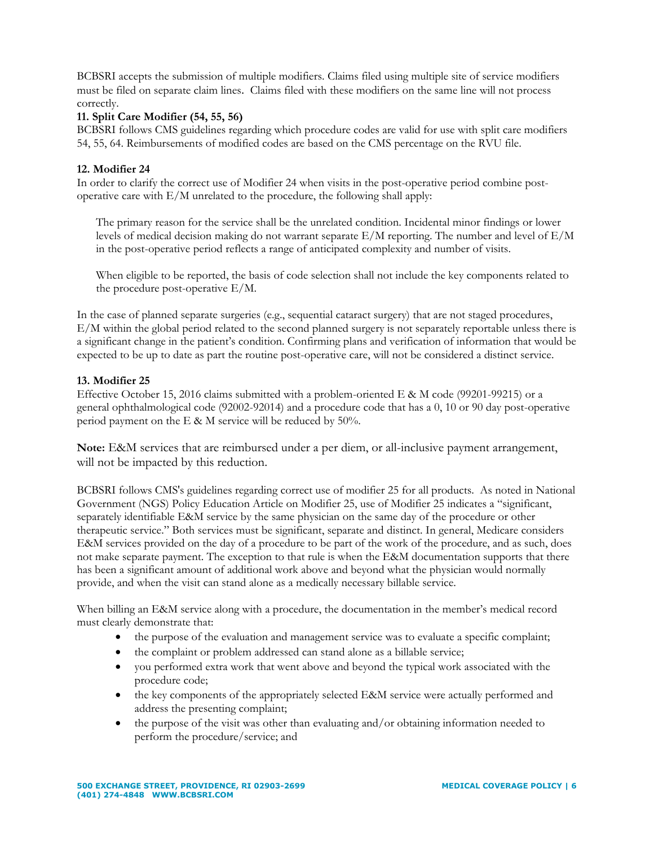BCBSRI accepts the submission of multiple modifiers. Claims filed using multiple site of service modifiers must be filed on separate claim lines. Claims filed with these modifiers on the same line will not process correctly.

# **11. Split Care Modifier (54, 55, 56)**

BCBSRI follows CMS guidelines regarding which procedure codes are valid for use with split care modifiers 54, 55, 64. Reimbursements of modified codes are based on the CMS percentage on the RVU file.

# **12. Modifier 24**

In order to clarify the correct use of Modifier 24 when visits in the post-operative period combine postoperative care with E/M unrelated to the procedure, the following shall apply:

The primary reason for the service shall be the unrelated condition. Incidental minor findings or lower levels of medical decision making do not warrant separate E/M reporting. The number and level of E/M in the post-operative period reflects a range of anticipated complexity and number of visits.

When eligible to be reported, the basis of code selection shall not include the key components related to the procedure post-operative E/M.

In the case of planned separate surgeries (e.g., sequential cataract surgery) that are not staged procedures, E/M within the global period related to the second planned surgery is not separately reportable unless there is a significant change in the patient's condition. Confirming plans and verification of information that would be expected to be up to date as part the routine post-operative care, will not be considered a distinct service.

# **13. Modifier 25**

Effective October 15, 2016 claims submitted with a problem-oriented E & M code (99201-99215) or a general ophthalmological code (92002-92014) and a procedure code that has a 0, 10 or 90 day post-operative period payment on the E & M service will be reduced by 50%.

**Note:** E&M services that are reimbursed under a per diem, or all-inclusive payment arrangement, will not be impacted by this reduction.

BCBSRI follows CMS's guidelines regarding correct use of modifier 25 for all products. As noted in National Government (NGS) Policy Education Article on Modifier 25, use of Modifier 25 indicates a "significant, separately identifiable E&M service by the same physician on the same day of the procedure or other therapeutic service." Both services must be significant, separate and distinct. In general, Medicare considers E&M services provided on the day of a procedure to be part of the work of the procedure, and as such, does not make separate payment. The exception to that rule is when the E&M documentation supports that there has been a significant amount of additional work above and beyond what the physician would normally provide, and when the visit can stand alone as a medically necessary billable service.

When billing an E&M service along with a procedure, the documentation in the member's medical record must clearly demonstrate that:

- the purpose of the evaluation and management service was to evaluate a specific complaint;
- the complaint or problem addressed can stand alone as a billable service;
- you performed extra work that went above and beyond the typical work associated with the procedure code;
- the key components of the appropriately selected E&M service were actually performed and address the presenting complaint;
- the purpose of the visit was other than evaluating and/or obtaining information needed to perform the procedure/service; and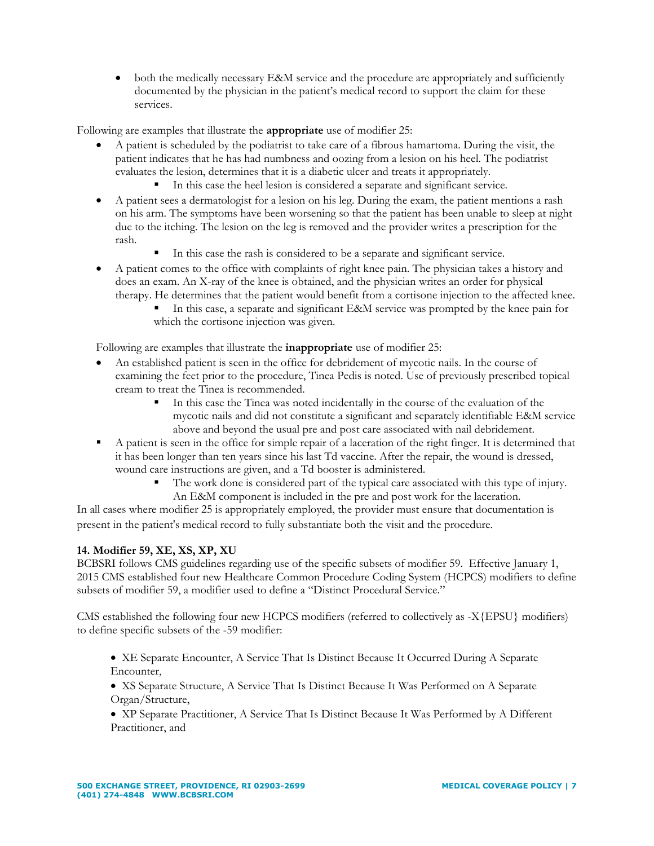• both the medically necessary E&M service and the procedure are appropriately and sufficiently documented by the physician in the patient's medical record to support the claim for these services.

Following are examples that illustrate the **appropriate** use of modifier 25:

- A patient is scheduled by the podiatrist to take care of a fibrous hamartoma. During the visit, the patient indicates that he has had numbness and oozing from a lesion on his heel. The podiatrist evaluates the lesion, determines that it is a diabetic ulcer and treats it appropriately.
	- In this case the heel lesion is considered a separate and significant service.
- A patient sees a dermatologist for a lesion on his leg. During the exam, the patient mentions a rash on his arm. The symptoms have been worsening so that the patient has been unable to sleep at night due to the itching. The lesion on the leg is removed and the provider writes a prescription for the rash.
	- In this case the rash is considered to be a separate and significant service.
- A patient comes to the office with complaints of right knee pain. The physician takes a history and does an exam. An X-ray of the knee is obtained, and the physician writes an order for physical therapy. He determines that the patient would benefit from a cortisone injection to the affected knee.
	- In this case, a separate and significant E&M service was prompted by the knee pain for which the cortisone injection was given.

Following are examples that illustrate the **inappropriate** use of modifier 25:

- An established patient is seen in the office for debridement of mycotic nails. In the course of examining the feet prior to the procedure, Tinea Pedis is noted. Use of previously prescribed topical cream to treat the Tinea is recommended.
	- In this case the Tinea was noted incidentally in the course of the evaluation of the mycotic nails and did not constitute a significant and separately identifiable E&M service above and beyond the usual pre and post care associated with nail debridement.
- A patient is seen in the office for simple repair of a laceration of the right finger. It is determined that it has been longer than ten years since his last Td vaccine. After the repair, the wound is dressed, wound care instructions are given, and a Td booster is administered.
	- The work done is considered part of the typical care associated with this type of injury. An E&M component is included in the pre and post work for the laceration.

In all cases where modifier 25 is appropriately employed, the provider must ensure that documentation is present in the patient's medical record to fully substantiate both the visit and the procedure.

# **14. Modifier 59, XE, XS, XP, XU**

BCBSRI follows CMS guidelines regarding use of the specific subsets of modifier 59. Effective January 1, 2015 CMS established four new Healthcare Common Procedure Coding System (HCPCS) modifiers to define subsets of modifier 59, a modifier used to define a "Distinct Procedural Service."

CMS established the following four new HCPCS modifiers (referred to collectively as -X{EPSU} modifiers) to define specific subsets of the -59 modifier:

- XE Separate Encounter, A Service That Is Distinct Because It Occurred During A Separate Encounter,
- XS Separate Structure, A Service That Is Distinct Because It Was Performed on A Separate Organ/Structure,
- XP Separate Practitioner, A Service That Is Distinct Because It Was Performed by A Different Practitioner, and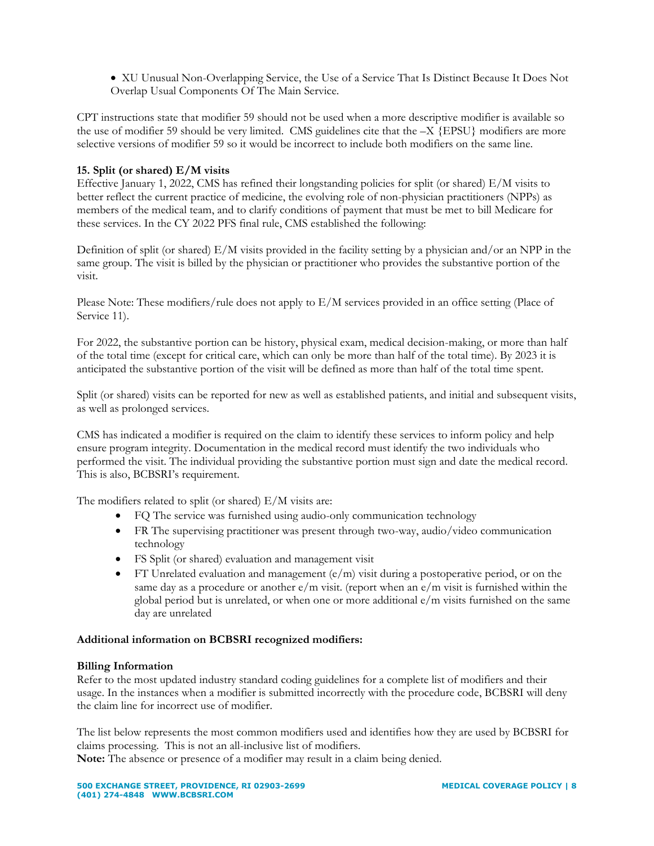• XU Unusual Non-Overlapping Service, the Use of a Service That Is Distinct Because It Does Not Overlap Usual Components Of The Main Service.

CPT instructions state that modifier 59 should not be used when a more descriptive modifier is available so the use of modifier 59 should be very limited. CMS guidelines cite that the –X {EPSU} modifiers are more selective versions of modifier 59 so it would be incorrect to include both modifiers on the same line.

## **15. Split (or shared) E/M visits**

Effective January 1, 2022, CMS has refined their longstanding policies for split (or shared) E/M visits to better reflect the current practice of medicine, the evolving role of non-physician practitioners (NPPs) as members of the medical team, and to clarify conditions of payment that must be met to bill Medicare for these services. In the CY 2022 PFS final rule, CMS established the following:

Definition of split (or shared) E/M visits provided in the facility setting by a physician and/or an NPP in the same group. The visit is billed by the physician or practitioner who provides the substantive portion of the visit.

Please Note: These modifiers/rule does not apply to E/M services provided in an office setting (Place of Service 11).

For 2022, the substantive portion can be history, physical exam, medical decision-making, or more than half of the total time (except for critical care, which can only be more than half of the total time). By 2023 it is anticipated the substantive portion of the visit will be defined as more than half of the total time spent.

Split (or shared) visits can be reported for new as well as established patients, and initial and subsequent visits, as well as prolonged services.

CMS has indicated a modifier is required on the claim to identify these services to inform policy and help ensure program integrity. Documentation in the medical record must identify the two individuals who performed the visit. The individual providing the substantive portion must sign and date the medical record. This is also, BCBSRI's requirement.

The modifiers related to split (or shared) E/M visits are:

- FQ The service was furnished using audio-only communication technology
- FR The supervising practitioner was present through two-way, audio/video communication technology
- FS Split (or shared) evaluation and management visit
- FT Unrelated evaluation and management  $(e/m)$  visit during a postoperative period, or on the same day as a procedure or another  $e/m$  visit. (report when an  $e/m$  visit is furnished within the global period but is unrelated, or when one or more additional  $e/m$  visits furnished on the same day are unrelated

#### **Additional information on BCBSRI recognized modifiers:**

#### **Billing Information**

Refer to the most updated industry standard coding guidelines for a complete list of modifiers and their usage. In the instances when a modifier is submitted incorrectly with the procedure code, BCBSRI will deny the claim line for incorrect use of modifier.

The list below represents the most common modifiers used and identifies how they are used by BCBSRI for claims processing. This is not an all-inclusive list of modifiers.

**Note:** The absence or presence of a modifier may result in a claim being denied.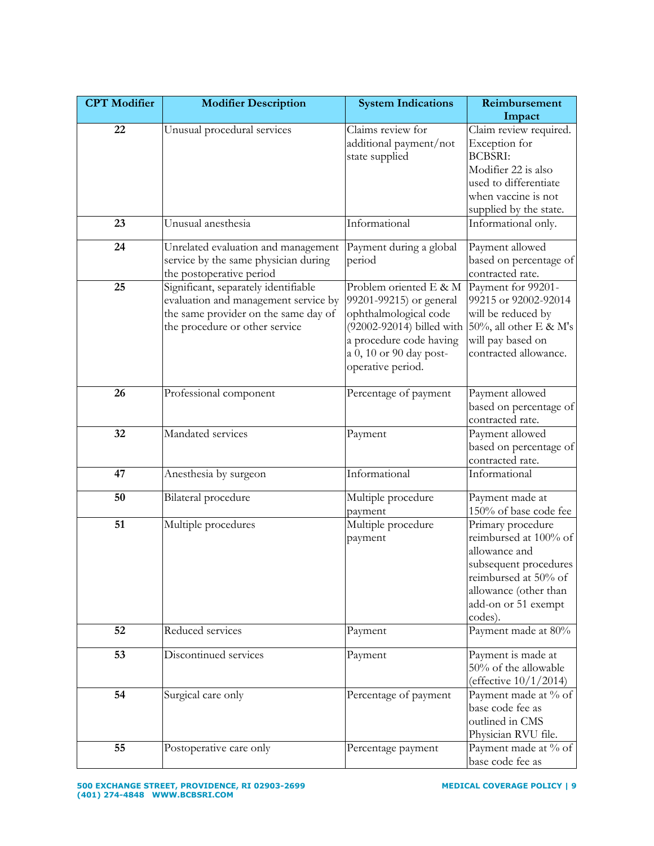| <b>CPT</b> Modifier | <b>Modifier Description</b>                                                                                                                            | <b>System Indications</b>                                                                                                                                                          | Reimbursement                                                                                                                                                           |
|---------------------|--------------------------------------------------------------------------------------------------------------------------------------------------------|------------------------------------------------------------------------------------------------------------------------------------------------------------------------------------|-------------------------------------------------------------------------------------------------------------------------------------------------------------------------|
|                     |                                                                                                                                                        |                                                                                                                                                                                    | Impact                                                                                                                                                                  |
| 22                  | Unusual procedural services                                                                                                                            | Claims review for<br>additional payment/not<br>state supplied                                                                                                                      | Claim review required.<br>Exception for<br><b>BCBSRI:</b><br>Modifier 22 is also<br>used to differentiate<br>when vaccine is not<br>supplied by the state.              |
| 23                  | Unusual anesthesia                                                                                                                                     | Informational                                                                                                                                                                      | Informational only.                                                                                                                                                     |
| 24                  | Unrelated evaluation and management<br>service by the same physician during<br>the postoperative period                                                | Payment during a global<br>period                                                                                                                                                  | Payment allowed<br>based on percentage of<br>contracted rate.                                                                                                           |
| 25                  | Significant, separately identifiable<br>evaluation and management service by<br>the same provider on the same day of<br>the procedure or other service | Problem oriented E & M<br>99201-99215) or general<br>ophthalmological code<br>(92002-92014) billed with<br>a procedure code having<br>a 0, 10 or 90 day post-<br>operative period. | Payment for 99201-<br>99215 or 92002-92014<br>will be reduced by<br>50%, all other E & M's<br>will pay based on<br>contracted allowance.                                |
| 26                  | Professional component                                                                                                                                 | Percentage of payment                                                                                                                                                              | Payment allowed<br>based on percentage of<br>contracted rate.                                                                                                           |
| 32                  | Mandated services                                                                                                                                      | Payment                                                                                                                                                                            | Payment allowed<br>based on percentage of<br>contracted rate.                                                                                                           |
| 47                  | Anesthesia by surgeon                                                                                                                                  | Informational                                                                                                                                                                      | Informational                                                                                                                                                           |
| 50                  | Bilateral procedure                                                                                                                                    | Multiple procedure<br>payment                                                                                                                                                      | Payment made at<br>150% of base code fee                                                                                                                                |
| 51                  | Multiple procedures                                                                                                                                    | Multiple procedure<br>payment                                                                                                                                                      | Primary procedure<br>reimbursed at 100% of<br>allowance and<br>subsequent procedures<br>reimbursed at 50% of<br>allowance (other than<br>add-on or 51 exempt<br>codes). |
| 52                  | Reduced services                                                                                                                                       | Payment                                                                                                                                                                            | Payment made at 80%                                                                                                                                                     |
| 53                  | Discontinued services                                                                                                                                  | Payment                                                                                                                                                                            | Payment is made at<br>50% of the allowable<br>(effective 10/1/2014)                                                                                                     |
| 54                  | Surgical care only                                                                                                                                     | Percentage of payment                                                                                                                                                              | Payment made at % of<br>base code fee as<br>outlined in CMS<br>Physician RVU file.                                                                                      |
| 55                  | Postoperative care only                                                                                                                                | Percentage payment                                                                                                                                                                 | Payment made at % of<br>base code fee as                                                                                                                                |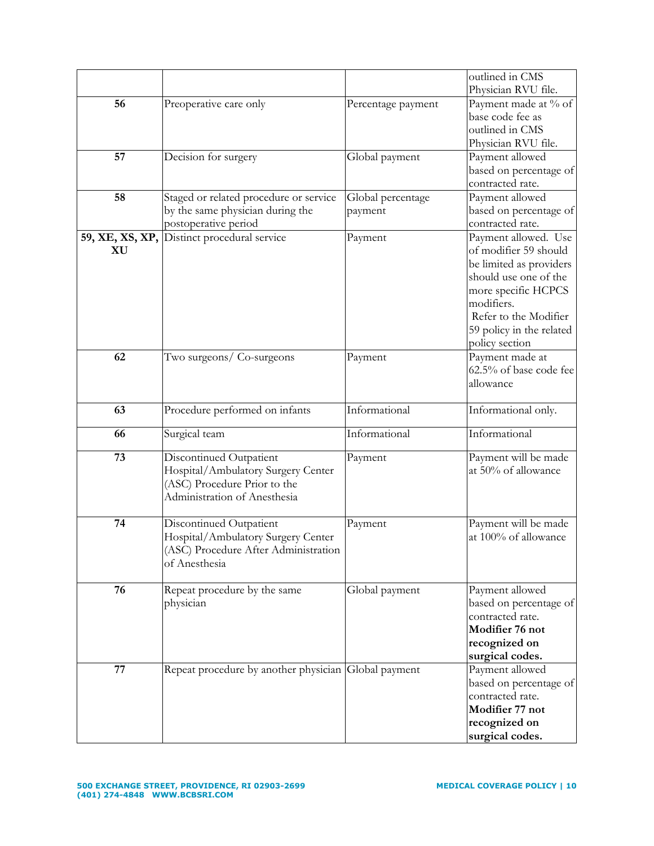| 56<br>Preoperative care only<br>Percentage payment<br>base code fee as<br>outlined in CMS<br>Physician RVU file.<br>57<br>Payment allowed<br>Decision for surgery<br>Global payment<br>based on percentage of<br>contracted rate.<br>58<br>Staged or related procedure or service<br>Global percentage<br>Payment allowed<br>by the same physician during the<br>based on percentage of<br>payment<br>postoperative period<br>contracted rate.<br>Payment allowed. Use<br>59, XE, XS, XP, Distinct procedural service<br>Payment<br>of modifier 59 should<br>XU<br>be limited as providers<br>should use one of the<br>more specific HCPCS<br>modifiers.<br>Refer to the Modifier<br>59 policy in the related<br>policy section<br>62<br>Two surgeons/ Co-surgeons<br>Payment made at<br>Payment<br>62.5% of base code fee<br>allowance<br>Informational<br>Procedure performed on infants<br>63<br>Informational only. |  | outlined in CMS        |
|-------------------------------------------------------------------------------------------------------------------------------------------------------------------------------------------------------------------------------------------------------------------------------------------------------------------------------------------------------------------------------------------------------------------------------------------------------------------------------------------------------------------------------------------------------------------------------------------------------------------------------------------------------------------------------------------------------------------------------------------------------------------------------------------------------------------------------------------------------------------------------------------------------------------------|--|------------------------|
|                                                                                                                                                                                                                                                                                                                                                                                                                                                                                                                                                                                                                                                                                                                                                                                                                                                                                                                         |  | Physician RVU file.    |
|                                                                                                                                                                                                                                                                                                                                                                                                                                                                                                                                                                                                                                                                                                                                                                                                                                                                                                                         |  | Payment made at % of   |
|                                                                                                                                                                                                                                                                                                                                                                                                                                                                                                                                                                                                                                                                                                                                                                                                                                                                                                                         |  |                        |
|                                                                                                                                                                                                                                                                                                                                                                                                                                                                                                                                                                                                                                                                                                                                                                                                                                                                                                                         |  |                        |
|                                                                                                                                                                                                                                                                                                                                                                                                                                                                                                                                                                                                                                                                                                                                                                                                                                                                                                                         |  |                        |
|                                                                                                                                                                                                                                                                                                                                                                                                                                                                                                                                                                                                                                                                                                                                                                                                                                                                                                                         |  |                        |
|                                                                                                                                                                                                                                                                                                                                                                                                                                                                                                                                                                                                                                                                                                                                                                                                                                                                                                                         |  |                        |
|                                                                                                                                                                                                                                                                                                                                                                                                                                                                                                                                                                                                                                                                                                                                                                                                                                                                                                                         |  |                        |
|                                                                                                                                                                                                                                                                                                                                                                                                                                                                                                                                                                                                                                                                                                                                                                                                                                                                                                                         |  |                        |
|                                                                                                                                                                                                                                                                                                                                                                                                                                                                                                                                                                                                                                                                                                                                                                                                                                                                                                                         |  |                        |
|                                                                                                                                                                                                                                                                                                                                                                                                                                                                                                                                                                                                                                                                                                                                                                                                                                                                                                                         |  |                        |
|                                                                                                                                                                                                                                                                                                                                                                                                                                                                                                                                                                                                                                                                                                                                                                                                                                                                                                                         |  |                        |
|                                                                                                                                                                                                                                                                                                                                                                                                                                                                                                                                                                                                                                                                                                                                                                                                                                                                                                                         |  |                        |
|                                                                                                                                                                                                                                                                                                                                                                                                                                                                                                                                                                                                                                                                                                                                                                                                                                                                                                                         |  |                        |
|                                                                                                                                                                                                                                                                                                                                                                                                                                                                                                                                                                                                                                                                                                                                                                                                                                                                                                                         |  |                        |
|                                                                                                                                                                                                                                                                                                                                                                                                                                                                                                                                                                                                                                                                                                                                                                                                                                                                                                                         |  |                        |
|                                                                                                                                                                                                                                                                                                                                                                                                                                                                                                                                                                                                                                                                                                                                                                                                                                                                                                                         |  |                        |
|                                                                                                                                                                                                                                                                                                                                                                                                                                                                                                                                                                                                                                                                                                                                                                                                                                                                                                                         |  |                        |
|                                                                                                                                                                                                                                                                                                                                                                                                                                                                                                                                                                                                                                                                                                                                                                                                                                                                                                                         |  |                        |
|                                                                                                                                                                                                                                                                                                                                                                                                                                                                                                                                                                                                                                                                                                                                                                                                                                                                                                                         |  |                        |
|                                                                                                                                                                                                                                                                                                                                                                                                                                                                                                                                                                                                                                                                                                                                                                                                                                                                                                                         |  |                        |
|                                                                                                                                                                                                                                                                                                                                                                                                                                                                                                                                                                                                                                                                                                                                                                                                                                                                                                                         |  |                        |
|                                                                                                                                                                                                                                                                                                                                                                                                                                                                                                                                                                                                                                                                                                                                                                                                                                                                                                                         |  |                        |
|                                                                                                                                                                                                                                                                                                                                                                                                                                                                                                                                                                                                                                                                                                                                                                                                                                                                                                                         |  |                        |
|                                                                                                                                                                                                                                                                                                                                                                                                                                                                                                                                                                                                                                                                                                                                                                                                                                                                                                                         |  |                        |
| Informational<br>Informational<br>66<br>Surgical team                                                                                                                                                                                                                                                                                                                                                                                                                                                                                                                                                                                                                                                                                                                                                                                                                                                                   |  |                        |
| Discontinued Outpatient<br>73<br>Payment                                                                                                                                                                                                                                                                                                                                                                                                                                                                                                                                                                                                                                                                                                                                                                                                                                                                                |  | Payment will be made   |
| at 50% of allowance<br>Hospital/Ambulatory Surgery Center                                                                                                                                                                                                                                                                                                                                                                                                                                                                                                                                                                                                                                                                                                                                                                                                                                                               |  |                        |
| (ASC) Procedure Prior to the                                                                                                                                                                                                                                                                                                                                                                                                                                                                                                                                                                                                                                                                                                                                                                                                                                                                                            |  |                        |
| Administration of Anesthesia                                                                                                                                                                                                                                                                                                                                                                                                                                                                                                                                                                                                                                                                                                                                                                                                                                                                                            |  |                        |
| 74                                                                                                                                                                                                                                                                                                                                                                                                                                                                                                                                                                                                                                                                                                                                                                                                                                                                                                                      |  |                        |
| Discontinued Outpatient<br>Payment<br>at 100% of allowance                                                                                                                                                                                                                                                                                                                                                                                                                                                                                                                                                                                                                                                                                                                                                                                                                                                              |  | Payment will be made   |
| Hospital/Ambulatory Surgery Center<br>(ASC) Procedure After Administration                                                                                                                                                                                                                                                                                                                                                                                                                                                                                                                                                                                                                                                                                                                                                                                                                                              |  |                        |
| of Anesthesia                                                                                                                                                                                                                                                                                                                                                                                                                                                                                                                                                                                                                                                                                                                                                                                                                                                                                                           |  |                        |
|                                                                                                                                                                                                                                                                                                                                                                                                                                                                                                                                                                                                                                                                                                                                                                                                                                                                                                                         |  |                        |
| 76<br>Payment allowed<br>Repeat procedure by the same<br>Global payment                                                                                                                                                                                                                                                                                                                                                                                                                                                                                                                                                                                                                                                                                                                                                                                                                                                 |  |                        |
| physician                                                                                                                                                                                                                                                                                                                                                                                                                                                                                                                                                                                                                                                                                                                                                                                                                                                                                                               |  | based on percentage of |
| contracted rate.                                                                                                                                                                                                                                                                                                                                                                                                                                                                                                                                                                                                                                                                                                                                                                                                                                                                                                        |  |                        |
| Modifier 76 not                                                                                                                                                                                                                                                                                                                                                                                                                                                                                                                                                                                                                                                                                                                                                                                                                                                                                                         |  |                        |
| recognized on                                                                                                                                                                                                                                                                                                                                                                                                                                                                                                                                                                                                                                                                                                                                                                                                                                                                                                           |  |                        |
| surgical codes.                                                                                                                                                                                                                                                                                                                                                                                                                                                                                                                                                                                                                                                                                                                                                                                                                                                                                                         |  |                        |
| 77<br>Repeat procedure by another physician Global payment<br>Payment allowed                                                                                                                                                                                                                                                                                                                                                                                                                                                                                                                                                                                                                                                                                                                                                                                                                                           |  |                        |
|                                                                                                                                                                                                                                                                                                                                                                                                                                                                                                                                                                                                                                                                                                                                                                                                                                                                                                                         |  | based on percentage of |
| contracted rate.                                                                                                                                                                                                                                                                                                                                                                                                                                                                                                                                                                                                                                                                                                                                                                                                                                                                                                        |  |                        |
| Modifier 77 not                                                                                                                                                                                                                                                                                                                                                                                                                                                                                                                                                                                                                                                                                                                                                                                                                                                                                                         |  |                        |
| recognized on                                                                                                                                                                                                                                                                                                                                                                                                                                                                                                                                                                                                                                                                                                                                                                                                                                                                                                           |  |                        |
| surgical codes.                                                                                                                                                                                                                                                                                                                                                                                                                                                                                                                                                                                                                                                                                                                                                                                                                                                                                                         |  |                        |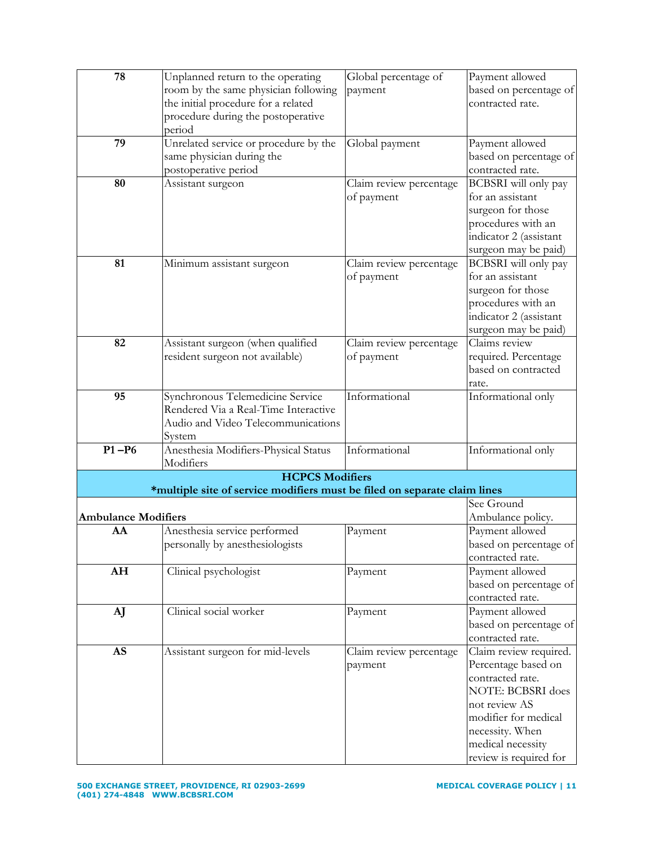| 78                         | Unplanned return to the operating                                         | Global percentage of    | Payment allowed          |
|----------------------------|---------------------------------------------------------------------------|-------------------------|--------------------------|
|                            | room by the same physician following                                      | payment                 | based on percentage of   |
|                            | the initial procedure for a related                                       |                         | contracted rate.         |
|                            | procedure during the postoperative                                        |                         |                          |
|                            | period                                                                    |                         |                          |
| 79                         | Unrelated service or procedure by the                                     | Global payment          | Payment allowed          |
|                            | same physician during the                                                 |                         | based on percentage of   |
|                            | postoperative period                                                      |                         | contracted rate.         |
| 80                         | Assistant surgeon                                                         | Claim review percentage | BCBSRI will only pay     |
|                            |                                                                           | of payment              | for an assistant         |
|                            |                                                                           |                         | surgeon for those        |
|                            |                                                                           |                         | procedures with an       |
|                            |                                                                           |                         | indicator 2 (assistant   |
|                            |                                                                           |                         | surgeon may be paid)     |
| 81                         | Minimum assistant surgeon                                                 | Claim review percentage | BCBSRI will only pay     |
|                            |                                                                           | of payment              | for an assistant         |
|                            |                                                                           |                         | surgeon for those        |
|                            |                                                                           |                         | procedures with an       |
|                            |                                                                           |                         | indicator 2 (assistant   |
|                            |                                                                           |                         | surgeon may be paid)     |
| 82                         | Assistant surgeon (when qualified                                         | Claim review percentage | Claims review            |
|                            | resident surgeon not available)                                           | of payment              | required. Percentage     |
|                            |                                                                           |                         | based on contracted      |
|                            |                                                                           |                         | rate.                    |
| 95                         | Synchronous Telemedicine Service                                          | Informational           | Informational only       |
|                            | Rendered Via a Real-Time Interactive                                      |                         |                          |
|                            | Audio and Video Telecommunications                                        |                         |                          |
|                            | System                                                                    |                         |                          |
| $P1 - P6$                  | Anesthesia Modifiers-Physical Status                                      | Informational           | Informational only       |
|                            | Modifiers                                                                 |                         |                          |
|                            | <b>HCPCS Modifiers</b>                                                    |                         |                          |
|                            | *multiple site of service modifiers must be filed on separate claim lines |                         |                          |
|                            |                                                                           |                         | See Ground               |
| <b>Ambulance Modifiers</b> |                                                                           |                         | Ambulance policy.        |
| AA                         | Anesthesia service performed                                              | Payment                 | Payment allowed          |
|                            | personally by anesthesiologists                                           |                         | based on percentage of   |
|                            |                                                                           |                         | contracted rate.         |
| AH                         | Clinical psychologist                                                     | Payment                 | Payment allowed          |
|                            |                                                                           |                         | based on percentage of   |
|                            |                                                                           |                         | contracted rate.         |
| AJ                         | Clinical social worker                                                    | Payment                 | Payment allowed          |
|                            |                                                                           |                         | based on percentage of   |
|                            |                                                                           |                         | contracted rate.         |
| <b>AS</b>                  | Assistant surgeon for mid-levels                                          | Claim review percentage | Claim review required.   |
|                            |                                                                           | payment                 | Percentage based on      |
|                            |                                                                           |                         | contracted rate.         |
|                            |                                                                           |                         | <b>NOTE: BCBSRI</b> does |
|                            |                                                                           |                         | not review AS            |
|                            |                                                                           |                         | modifier for medical     |
|                            |                                                                           |                         | necessity. When          |
|                            |                                                                           |                         | medical necessity        |
|                            |                                                                           |                         | review is required for   |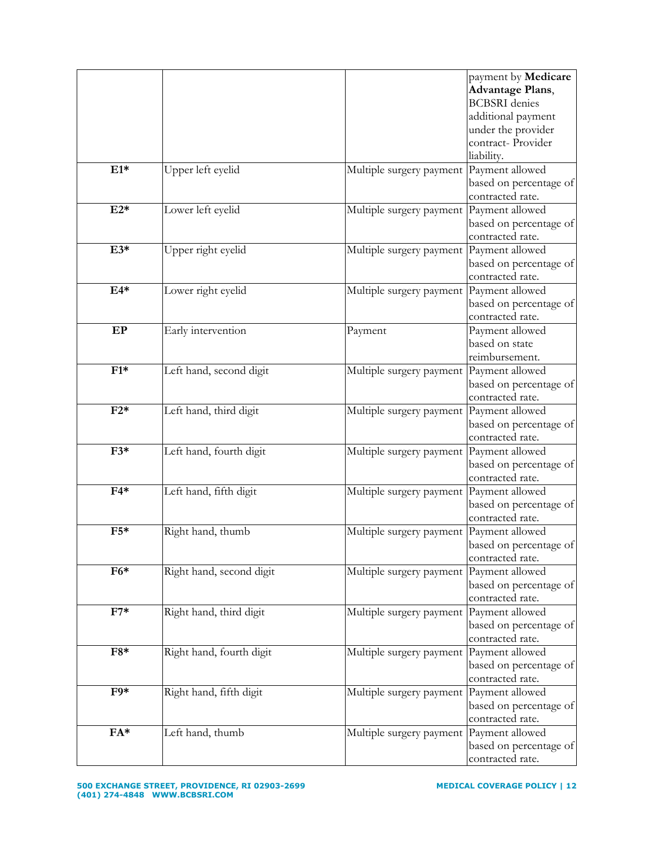|                  |                          |                                          | payment by Medicare     |
|------------------|--------------------------|------------------------------------------|-------------------------|
|                  |                          |                                          | <b>Advantage Plans,</b> |
|                  |                          |                                          | <b>BCBSRI</b> denies    |
|                  |                          |                                          | additional payment      |
|                  |                          |                                          | under the provider      |
|                  |                          |                                          | contract- Provider      |
|                  |                          |                                          | liability.              |
| $E1*$            | Upper left eyelid        | Multiple surgery payment Payment allowed |                         |
|                  |                          |                                          | based on percentage of  |
|                  |                          |                                          | contracted rate.        |
| $E2*$            | Lower left eyelid        | Multiple surgery payment                 | Payment allowed         |
|                  |                          |                                          | based on percentage of  |
|                  |                          |                                          | contracted rate.        |
| $E3*$            | Upper right eyelid       | Multiple surgery payment                 | Payment allowed         |
|                  |                          |                                          | based on percentage of  |
|                  |                          |                                          | contracted rate.        |
| $E4*$            | Lower right eyelid       | Multiple surgery payment                 | Payment allowed         |
|                  |                          |                                          | based on percentage of  |
|                  |                          |                                          | contracted rate.        |
| EP               | Early intervention       | Payment                                  | Payment allowed         |
|                  |                          |                                          | based on state          |
|                  |                          |                                          | reimbursement.          |
| $F1*$            | Left hand, second digit  | Multiple surgery payment                 | Payment allowed         |
|                  |                          |                                          | based on percentage of  |
|                  |                          |                                          | contracted rate.        |
| $F2*$            | Left hand, third digit   | Multiple surgery payment                 | Payment allowed         |
|                  |                          |                                          | based on percentage of  |
|                  |                          |                                          | contracted rate.        |
| $F3*$            | Left hand, fourth digit  | Multiple surgery payment                 | Payment allowed         |
|                  |                          |                                          | based on percentage of  |
|                  |                          |                                          | contracted rate.        |
| $F4*$            | Left hand, fifth digit   | Multiple surgery payment Payment allowed |                         |
|                  |                          |                                          | based on percentage of  |
|                  |                          |                                          | contracted rate.        |
| $F5*$            | Right hand, thumb        | Multiple surgery payment                 | Payment allowed         |
|                  |                          |                                          | based on percentage of  |
|                  |                          |                                          | contracted rate.        |
| $F6*$            | Right hand, second digit | Multiple surgery payment                 | Payment allowed         |
|                  |                          |                                          | based on percentage of  |
|                  |                          |                                          | contracted rate.        |
| $\overline{F7*}$ | Right hand, third digit  | Multiple surgery payment                 | Payment allowed         |
|                  |                          |                                          | based on percentage of  |
|                  |                          |                                          | contracted rate.        |
| $F8*$            | Right hand, fourth digit | Multiple surgery payment                 | Payment allowed         |
|                  |                          |                                          | based on percentage of  |
|                  |                          |                                          | contracted rate.        |
| $F9*$            | Right hand, fifth digit  | Multiple surgery payment                 | Payment allowed         |
|                  |                          |                                          | based on percentage of  |
|                  |                          |                                          | contracted rate.        |
| $FA*$            | Left hand, thumb         | Multiple surgery payment                 | Payment allowed         |
|                  |                          |                                          | based on percentage of  |
|                  |                          |                                          | contracted rate.        |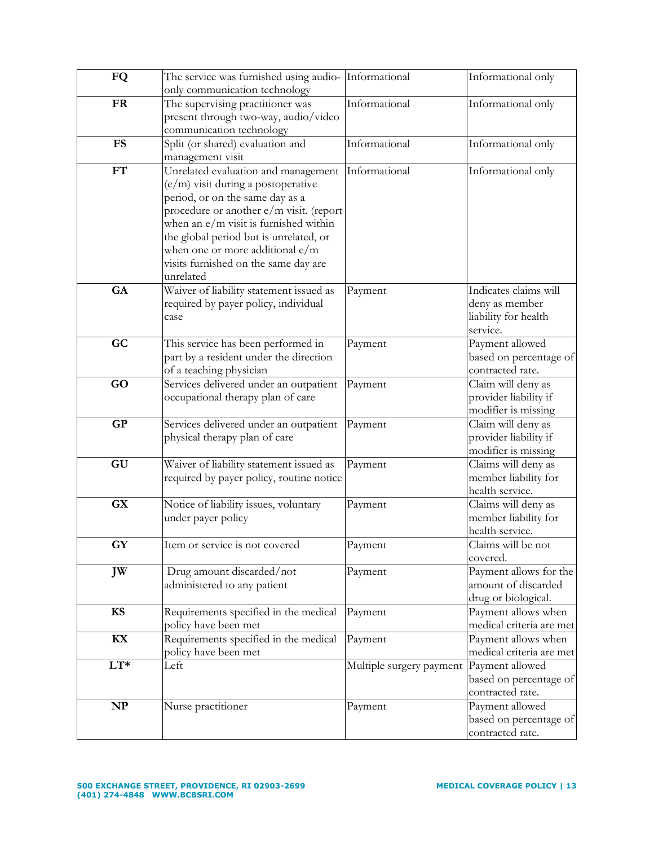| FQ                     | The service was furnished using audio- Informational |                          | Informational only                              |
|------------------------|------------------------------------------------------|--------------------------|-------------------------------------------------|
|                        | only communication technology                        |                          |                                                 |
| <b>FR</b>              | The supervising practitioner was                     | Informational            | Informational only                              |
|                        | present through two-way, audio/video                 |                          |                                                 |
|                        | communication technology                             |                          |                                                 |
| <b>FS</b>              | Split (or shared) evaluation and                     | Informational            | Informational only                              |
|                        | management visit                                     |                          |                                                 |
| FT                     | Unrelated evaluation and management                  | Informational            | Informational only                              |
|                        | (e/m) visit during a postoperative                   |                          |                                                 |
|                        | period, or on the same day as a                      |                          |                                                 |
|                        | procedure or another e/m visit. (report              |                          |                                                 |
|                        | when an $e/m$ visit is furnished within              |                          |                                                 |
|                        | the global period but is unrelated, or               |                          |                                                 |
|                        | when one or more additional $e/m$                    |                          |                                                 |
|                        | visits furnished on the same day are                 |                          |                                                 |
|                        | unrelated                                            |                          |                                                 |
| GA                     | Waiver of liability statement issued as              | Payment                  | Indicates claims will                           |
|                        | required by payer policy, individual                 |                          | deny as member                                  |
|                        | case                                                 |                          | liability for health                            |
|                        |                                                      |                          | service.                                        |
| GC                     | This service has been performed in                   | Payment                  | Payment allowed                                 |
|                        | part by a resident under the direction               |                          | based on percentage of                          |
|                        | of a teaching physician                              |                          | contracted rate.                                |
| GO                     | Services delivered under an outpatient               | Payment                  | Claim will deny as                              |
|                        | occupational therapy plan of care                    |                          | provider liability if                           |
|                        |                                                      |                          | modifier is missing                             |
| <b>GP</b>              | Services delivered under an outpatient               | Payment                  | Claim will deny as                              |
|                        | physical therapy plan of care                        |                          | provider liability if                           |
|                        |                                                      |                          | modifier is missing                             |
| GU                     | Waiver of liability statement issued as              | Payment                  | Claims will deny as                             |
|                        | required by payer policy, routine notice             |                          | member liability for                            |
|                        |                                                      |                          | health service.                                 |
| <b>GX</b>              | Notice of liability issues, voluntary                | Payment                  | Claims will deny as                             |
|                        | under payer policy                                   |                          | member liability for                            |
|                        |                                                      |                          | health service.                                 |
| $\mathbf{G}\mathbf{Y}$ | Item or service is not covered                       | Payment                  | Claims will be not                              |
|                        |                                                      |                          | covered.                                        |
| JW                     | Drug amount discarded/not                            | Payment                  | Payment allows for the                          |
|                        | administered to any patient                          |                          | amount of discarded                             |
| <b>KS</b>              | Requirements specified in the medical                | Payment                  | drug or biological.                             |
|                        | policy have been met                                 |                          | Payment allows when<br>medical criteria are met |
| KX                     | Requirements specified in the medical                |                          |                                                 |
|                        | policy have been met                                 | Payment                  | Payment allows when<br>medical criteria are met |
| $LT*$                  | Left                                                 |                          | Payment allowed                                 |
|                        |                                                      | Multiple surgery payment | based on percentage of                          |
|                        |                                                      |                          | contracted rate.                                |
| NP                     | Nurse practitioner                                   | Payment                  | Payment allowed                                 |
|                        |                                                      |                          | based on percentage of                          |
|                        |                                                      |                          | contracted rate.                                |
|                        |                                                      |                          |                                                 |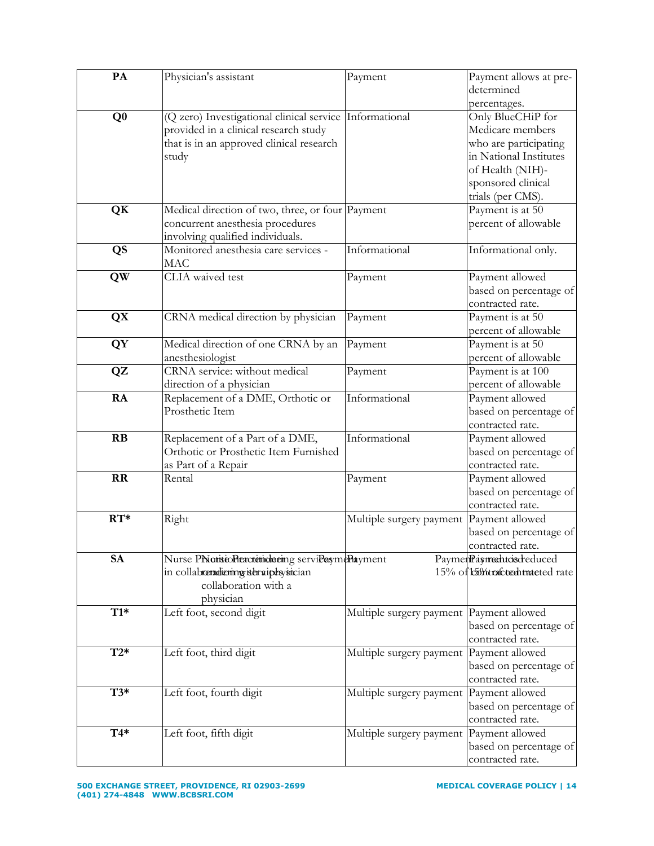| PA             | Physician's assistant                                                                                                                        | Payment                                  | Payment allows at pre-<br>determined                                                  |
|----------------|----------------------------------------------------------------------------------------------------------------------------------------------|------------------------------------------|---------------------------------------------------------------------------------------|
|                |                                                                                                                                              |                                          | percentages.                                                                          |
| Q <sub>0</sub> | (Q zero) Investigational clinical service Informational<br>provided in a clinical research study<br>that is in an approved clinical research |                                          | Only BlueCHiP for<br>Medicare members<br>who are participating                        |
|                | study                                                                                                                                        |                                          | in National Institutes<br>of Health (NIH)-<br>sponsored clinical<br>trials (per CMS). |
| QK             | Medical direction of two, three, or four Payment<br>concurrent anesthesia procedures<br>involving qualified individuals.                     |                                          | Payment is at 50<br>percent of allowable                                              |
| QS             | Monitored anesthesia care services -<br><b>MAC</b>                                                                                           | Informational                            | Informational only.                                                                   |
| <b>QW</b>      | CLIA waived test                                                                                                                             | Payment                                  | Payment allowed<br>based on percentage of<br>contracted rate.                         |
| <b>QX</b>      | CRNA medical direction by physician                                                                                                          | Payment                                  | Payment is at 50<br>percent of allowable                                              |
| <b>QY</b>      | Medical direction of one CRNA by an<br>anesthesiologist                                                                                      | Payment                                  | Payment is at 50<br>percent of allowable                                              |
| QZ             | CRNA service: without medical<br>direction of a physician                                                                                    | Payment                                  | Payment is at 100<br>percent of allowable                                             |
| RA             | Replacement of a DME, Orthotic or<br>Prosthetic Item                                                                                         | Informational                            | Payment allowed<br>based on percentage of<br>contracted rate.                         |
| RB             | Replacement of a Part of a DME,<br>Orthotic or Prosthetic Item Furnished<br>as Part of a Repair                                              | Informational                            | Payment allowed<br>based on percentage of<br>contracted rate.                         |
| <b>RR</b>      | Rental                                                                                                                                       | Payment                                  | Payment allowed<br>based on percentage of<br>contracted rate.                         |
| $RT*$          | Right                                                                                                                                        | Multiple surgery payment                 | Payment allowed<br>based on percentage of<br>contracted rate.                         |
| <b>SA</b>      | Nurse PNattstoPleactetindnering serviPaymePlayment<br>in collabreradienny istervipesysician<br>collaboration with a<br>physician             |                                          | PaymenPaymentosdreduced<br>15% of t5% tracted rate                                    |
| $T1*$          | Left foot, second digit                                                                                                                      | Multiple surgery payment Payment allowed | based on percentage of<br>contracted rate.                                            |
| $T2*$          | Left foot, third digit                                                                                                                       | Multiple surgery payment                 | Payment allowed<br>based on percentage of<br>contracted rate.                         |
| $T3*$          | Left foot, fourth digit                                                                                                                      | Multiple surgery payment                 | Payment allowed<br>based on percentage of<br>contracted rate.                         |
| $T4*$          | Left foot, fifth digit                                                                                                                       | Multiple surgery payment                 | Payment allowed<br>based on percentage of<br>contracted rate.                         |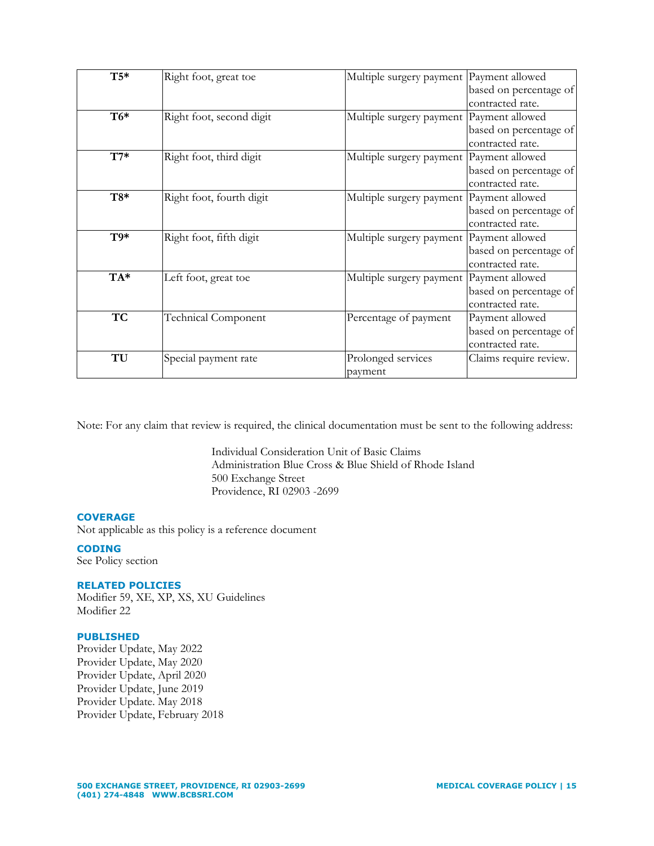| $T5*$     | Right foot, great toe      | Multiple surgery payment   Payment allowed |                        |
|-----------|----------------------------|--------------------------------------------|------------------------|
|           |                            |                                            | based on percentage of |
|           |                            |                                            | contracted rate.       |
| $T6*$     | Right foot, second digit   | Multiple surgery payment Payment allowed   |                        |
|           |                            |                                            | based on percentage of |
|           |                            |                                            | contracted rate.       |
| $T7*$     | Right foot, third digit    | Multiple surgery payment Payment allowed   |                        |
|           |                            |                                            | based on percentage of |
|           |                            |                                            | contracted rate.       |
| $T8*$     | Right foot, fourth digit   | Multiple surgery payment Payment allowed   |                        |
|           |                            |                                            | based on percentage of |
|           |                            |                                            | contracted rate.       |
| $T9*$     | Right foot, fifth digit    | Multiple surgery payment   Payment allowed |                        |
|           |                            |                                            | based on percentage of |
|           |                            |                                            | contracted rate.       |
| TA*       | Left foot, great toe       | Multiple surgery payment   Payment allowed |                        |
|           |                            |                                            | based on percentage of |
|           |                            |                                            | contracted rate.       |
| <b>TC</b> | <b>Technical Component</b> | Percentage of payment                      | Payment allowed        |
|           |                            |                                            | based on percentage of |
|           |                            |                                            | contracted rate.       |
| TU        | Special payment rate       | Prolonged services                         | Claims require review. |
|           |                            | payment                                    |                        |

Note: For any claim that review is required, the clinical documentation must be sent to the following address:

Individual Consideration Unit of Basic Claims Administration Blue Cross & Blue Shield of Rhode Island 500 Exchange Street Providence, RI 02903 -2699

## **COVERAGE**

Not applicable as this policy is a reference document

# **CODING**

See Policy section

#### **RELATED POLICIES**

Modifier 59, XE, XP, XS, XU Guidelines Modifier 22

### **PUBLISHED**

Provider Update, May 2022 Provider Update, May 2020 Provider Update, April 2020 Provider Update, June 2019 Provider Update. May 2018 Provider Update, February 2018